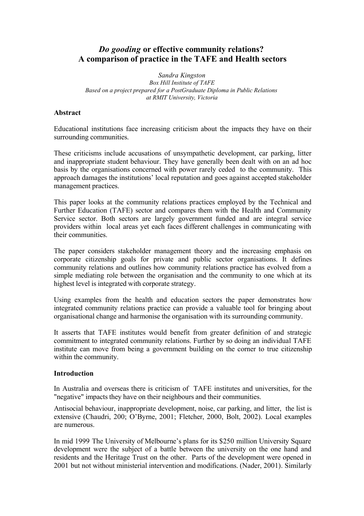# *Do gooding* **or effective community relations? A comparison of practice in the TAFE and Health sectors**

*Sandra Kingston Box Hill Institute of TAFE Based on a project prepared for a PostGraduate Diploma in Public Relations at RMIT University, Victoria*

### **Abstract**

Educational institutions face increasing criticism about the impacts they have on their surrounding communities.

These criticisms include accusations of unsympathetic development, car parking, litter and inappropriate student behaviour. They have generally been dealt with on an ad hoc basis by the organisations concerned with power rarely ceded to the community. This approach damages the institutions' local reputation and goes against accepted stakeholder management practices.

This paper looks at the community relations practices employed by the Technical and Further Education (TAFE) sector and compares them with the Health and Community Service sector. Both sectors are largely government funded and are integral service providers within local areas yet each faces different challenges in communicating with their communities.

The paper considers stakeholder management theory and the increasing emphasis on corporate citizenship goals for private and public sector organisations. It defines community relations and outlines how community relations practice has evolved from a simple mediating role between the organisation and the community to one which at its highest level is integrated with corporate strategy.

Using examples from the health and education sectors the paper demonstrates how integrated community relations practice can provide a valuable tool for bringing about organisational change and harmonise the organisation with its surrounding community.

It asserts that TAFE institutes would benefit from greater definition of and strategic commitment to integrated community relations. Further by so doing an individual TAFE institute can move from being a government building on the corner to true citizenship within the community.

### **Introduction**

In Australia and overseas there is criticism of TAFE institutes and universities, for the "negative" impacts they have on their neighbours and their communities.

Antisocial behaviour, inappropriate development, noise, car parking, and litter, the list is extensive (Chaudri, 200; O'Byrne, 2001; Fletcher, 2000, Bolt, 2002). Local examples are numerous.

In mid 1999 The University of Melbourne's plans for its \$250 million University Square development were the subject of a battle between the university on the one hand and residents and the Heritage Trust on the other. Parts of the development were opened in 2001 but not without ministerial intervention and modifications. (Nader, 2001). Similarly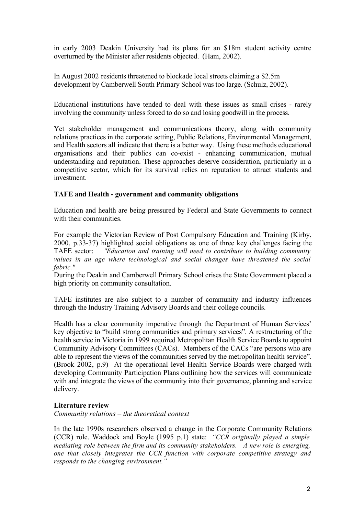in early 2003 Deakin University had its plans for an \$18m student activity centre overturned by the Minister after residents objected. (Ham, 2002).

In August 2002 residents threatened to blockade local streets claiming a \$2.5m development by Camberwell South Primary School was too large. (Schulz, 2002).

Educational institutions have tended to deal with these issues as small crises - rarely involving the community unless forced to do so and losing goodwill in the process.

Yet stakeholder management and communications theory, along with community relations practices in the corporate setting, Public Relations, Environmental Management, and Health sectors all indicate that there is a better way. Using these methods educational organisations and their publics can co-exist - enhancing communication, mutual understanding and reputation. These approaches deserve consideration, particularly in a competitive sector, which for its survival relies on reputation to attract students and investment.

# **TAFE and Health - government and community obligations**

Education and health are being pressured by Federal and State Governments to connect with their communities.

For example the Victorian Review of Post Compulsory Education and Training (Kirby, 2000, p.33-37) highlighted social obligations as one of three key challenges facing the TAFE sector: *"Education and training will need to contribute to building community values in an age where technological and social changes have threatened the social fabric."*

During the Deakin and Camberwell Primary School crises the State Government placed a high priority on community consultation.

TAFE institutes are also subject to a number of community and industry influences through the Industry Training Advisory Boards and their college councils.

Health has a clear community imperative through the Department of Human Services' key objective to "build strong communities and primary services". A restructuring of the health service in Victoria in 1999 required Metropolitan Health Service Boards to appoint Community Advisory Committees (CACs). Members of the CACs "are persons who are able to represent the views of the communities served by the metropolitan health service". (Brook 2002, p.9) At the operational level Health Service Boards were charged with developing Community Participation Plans outlining how the services will communicate with and integrate the views of the community into their governance, planning and service delivery.

# **Literature review**

*Community relations – the theoretical context*

In the late 1990s researchers observed a change in the Corporate Community Relations (CCR) role. Waddock and Boyle (1995 p.1) state: *"CCR originally played a simple mediating role between the firm and its community stakeholders. A new role is emerging, one that closely integrates the CCR function with corporate competitive strategy and responds to the changing environment."*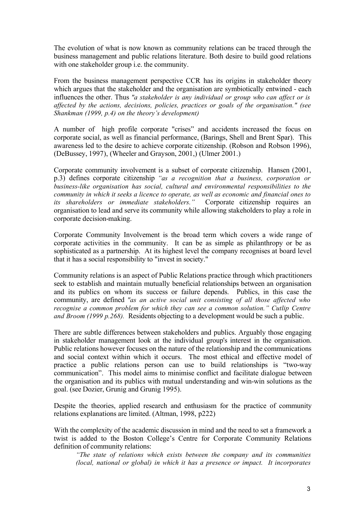The evolution of what is now known as community relations can be traced through the business management and public relations literature. Both desire to build good relations with one stakeholder group i.e. the community.

From the business management perspective CCR has its origins in stakeholder theory which argues that the stakeholder and the organisation are symbiotically entwined - each influences the other. Thus *"a stakeholder is any individual or group who can affect or is affected by the actions, decisions, policies, practices or goals of the organisation." (see Shankman (1999, p.4) on the theory's development)*

A number of high profile corporate "crises" and accidents increased the focus on corporate social, as well as financial performance, (Barings, Shell and Brent Spar). This awareness led to the desire to achieve corporate citizenship. (Robson and Robson 1996), (DeBussey, 1997), (Wheeler and Grayson, 2001,) (Ulmer 2001.)

Corporate community involvement is a subset of corporate citizenship. Hansen (2001, p.3) defines corporate citizenship *"as a recognition that a business, corporation or business-like organisation has social, cultural and environmental responsibilities to the community in which it seeks a licence to operate, as well as economic and financial ones to its shareholders or immediate stakeholders."* Corporate citizenship requires an organisation to lead and serve its community while allowing stakeholders to play a role in corporate decision-making.

Corporate Community Involvement is the broad term which covers a wide range of corporate activities in the community. It can be as simple as philanthropy or be as sophisticated as a partnership. At its highest level the company recognises at board level that it has a social responsibility to "invest in society."

Community relations is an aspect of Public Relations practice through which practitioners seek to establish and maintain mutually beneficial relationships between an organisation and its publics on whom its success or failure depends. Publics, in this case the community, are defined *"as an active social unit consisting of all those affected who recognise a common problem for which they can see a common solution." Cutlip Centre and Broom (1999 p.268).* Residents objecting to a development would be such a public.

There are subtle differences between stakeholders and publics. Arguably those engaging in stakeholder management look at the individual group's interest in the organisation. Public relations however focuses on the nature of the relationship and the communications and social context within which it occurs. The most ethical and effective model of practice a public relations person can use to build relationships is "two-way communication". This model aims to minimise conflict and facilitate dialogue between the organisation and its publics with mutual understanding and win-win solutions as the goal. (see Dozier, Grunig and Grunig 1995).

Despite the theories, applied research and enthusiasm for the practice of community relations explanations are limited. (Altman, 1998, p222)

With the complexity of the academic discussion in mind and the need to set a framework a twist is added to the Boston College's Centre for Corporate Community Relations definition of community relations:

*"The state of relations which exists between the company and its communities (local, national or global) in which it has a presence or impact. It incorporates*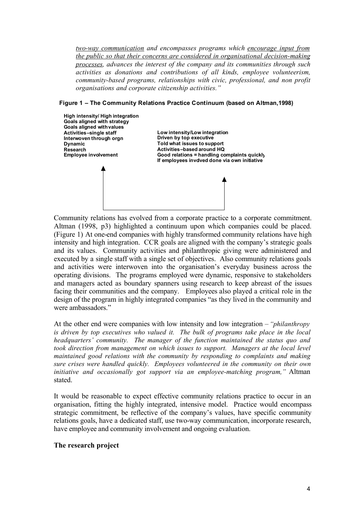*two-way communication and encompasses programs which encourage input from the public so that their concerns are considered in organisational decision-making processes, advances the interest of the company and its communities through such activities as donations and contributions of all kinds, employee volunteerism, community-based programs, relationships with civic, professional, and non profit organisations and corporate citizenship activities."*

#### **Figure 1 – The Community Relations Practice Continuum (based on Altman,1998)**



Community relations has evolved from a corporate practice to a corporate commitment. Altman (1998, p3) highlighted a continuum upon which companies could be placed. (Figure 1) At one-end companies with highly transformed community relations have high intensity and high integration. CCR goals are aligned with the company's strategic goals and its values. Community activities and philanthropic giving were administered and executed by a single staff with a single set of objectives. Also community relations goals and activities were interwoven into the organisation's everyday business across the operating divisions. The programs employed were dynamic, responsive to stakeholders and managers acted as boundary spanners using research to keep abreast of the issues facing their communities and the company. Employees also played a critical role in the design of the program in highly integrated companies "as they lived in the community and were ambassadors."

At the other end were companies with low intensity and low integration – *"philanthropy is driven by top executives who valued it. The bulk of programs take place in the local headquarters' community. The manager of the function maintained the status quo and took direction from management on which issues to support. Managers at the local level maintained good relations with the community by responding to complaints and making sure crises were handled quickly. Employees volunteered in the community on their own initiative and occasionally got support via an employee-matching program,"* Altman stated.

It would be reasonable to expect effective community relations practice to occur in an organisation, fitting the highly integrated, intensive model. Practice would encompass strategic commitment, be reflective of the company's values, have specific community relations goals, have a dedicated staff, use two-way communication, incorporate research, have employee and community involvement and ongoing evaluation.

#### **The research project**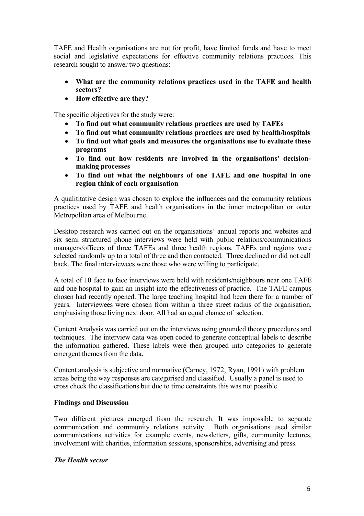TAFE and Health organisations are not for profit, have limited funds and have to meet social and legislative expectations for effective community relations practices. This research sought to answer two questions:

- **What are the community relations practices used in the TAFE and health sectors?**
- **How effective are they?**

The specific objectives for the study were:

- **To find out what community relations practices are used by TAFEs**
- **To find out what community relations practices are used by health/hospitals**
- **To find out what goals and measures the organisations use to evaluate these programs**
- **To find out how residents are involved in the organisations' decisionmaking processes**
- **To find out what the neighbours of one TAFE and one hospital in one region think of each organisation**

A qualititative design was chosen to explore the influences and the community relations practices used by TAFE and health organisations in the inner metropolitan or outer Metropolitan area of Melbourne.

Desktop research was carried out on the organisations' annual reports and websites and six semi structured phone interviews were held with public relations/communications managers/officers of three TAFEs and three health regions. TAFEs and regions were selected randomly up to a total of three and then contacted. Three declined or did not call back. The final interviewees were those who were willing to participate.

A total of 10 face to face interviews were held with residents/neighbours near one TAFE and one hospital to gain an insight into the effectiveness of practice. The TAFE campus chosen had recently opened. The large teaching hospital had been there for a number of years. Interviewees were chosen from within a three street radius of the organisation, emphasising those living next door. All had an equal chance of selection.

Content Analysis was carried out on the interviews using grounded theory procedures and techniques. The interview data was open coded to generate conceptual labels to describe the information gathered. These labels were then grouped into categories to generate emergent themes from the data.

Content analysis is subjective and normative (Carney, 1972, Ryan, 1991) with problem areas being the way responses are categorised and classified. Usually a panel is used to cross check the classifications but due to time constraints this was not possible.

### **Findings and Discussion**

Two different pictures emerged from the research. It was impossible to separate communication and community relations activity. Both organisations used similar communications activities for example events, newsletters, gifts, community lectures, involvement with charities, information sessions, sponsorships, advertising and press.

### *The Health sector*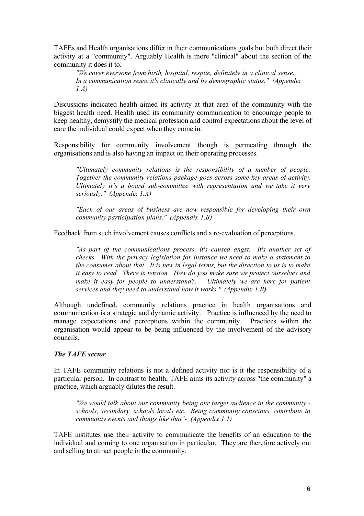TAFEs and Health organisations differ in their communications goals but both direct their activity at a "community". Arguably Health is more "clinical" about the section of the community it does it to.

*"We cover everyone from birth, hospital, respite, definitely in a clinical sense. In a communication sense it's clinically and by demographic status." (Appendix 1.A)*

Discussions indicated health aimed its activity at that area of the community with the biggest health need. Health used its community communication to encourage people to keep healthy, demystify the medical profession and control expectations about the level of care the individual could expect when they come in.

Responsibility for community involvement though is permeating through the organisations and is also having an impact on their operating processes.

*"Ultimately community relations is the responsibility of a number of people. Together the community relations package goes across some key areas of activity. Ultimately it's a board sub-committee with representation and we take it very seriously." (Appendix 1.A)*

*"Each of our areas of business are now responsible for developing their own community participation plans." (Appendix 1.B)*

Feedback from such involvement causes conflicts and a re-evaluation of perceptions.

*"As part of the communications process, it's caused angst. It's another set of checks. With the privacy legislation for instance we need to make a statement to the consumer about that. It is new in legal terms, but the direction to us is to make it easy to read. There is tension. How do you make sure we protect ourselves and make it easy for people to understand?. Ultimately we are here for patient services and they need to understand how it works." (Appendix 1.B)*

Although undefined, community relations practice in health organisations and communication is a strategic and dynamic activity. Practice is influenced by the need to manage expectations and perceptions within the community. Practices within the organisation would appear to be being influenced by the involvement of the advisory councils.

### *The TAFE sector*

In TAFE community relations is not a defined activity nor is it the responsibility of a particular person. In contrast to health, TAFE aims its activity across "the community" a practice, which arguably dilutes the result.

*"We would talk about our community being our target audience in the community schools, secondary, schools locals etc. Being community conscious, contribute to community events and things like that"- (Appendix 1.1)*

TAFE institutes use their activity to communicate the benefits of an education to the individual and coming to one organisation in particular. They are therefore actively out and selling to attract people in the community.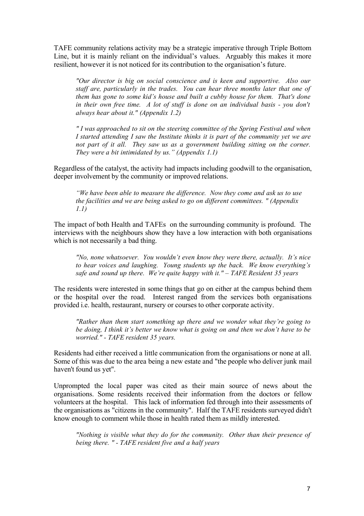TAFE community relations activity may be a strategic imperative through Triple Bottom Line, but it is mainly reliant on the individual's values. Arguably this makes it more resilient, however it is not noticed for its contribution to the organisation's future.

*"Our director is big on social conscience and is keen and supportive. Also our staff are, particularly in the trades. You can hear three months later that one of them has gone to some kid's house and built a cubby house for them. That's done in their own free time. A lot of stuff is done on an individual basis - you don't always hear about it." (Appendix 1.2)*

*" I was approached to sit on the steering committee of the Spring Festival and when I started attending I saw the Institute thinks it is part of the community yet we are not part of it all. They saw us as a government building sitting on the corner. They were a bit intimidated by us." (Appendix 1.1)*

Regardless of the catalyst, the activity had impacts including goodwill to the organisation, deeper involvement by the community or improved relations.

*"We have been able to measure the difference. Now they come and ask us to use the facilities and we are being asked to go on different committees. " (Appendix 1.1)*

The impact of both Health and TAFEs on the surrounding community is profound. The interviews with the neighbours show they have a low interaction with both organisations which is not necessarily a bad thing.

*"No, none whatsoever. You wouldn't even know they were there, actually. It's nice to hear voices and laughing. Young students up the back. We know everything's safe and sound up there. We're quite happy with it." – TAFE Resident 35 years*

The residents were interested in some things that go on either at the campus behind them or the hospital over the road. Interest ranged from the services both organisations provided i.e. health, restaurant, nursery or courses to other corporate activity.

*"Rather than them start something up there and we wonder what they're going to be doing, I think it's better we know what is going on and then we don't have to be worried." - TAFE resident 35 years.*

Residents had either received a little communication from the organisations or none at all. Some of this was due to the area being a new estate and "the people who deliver junk mail haven't found us yet".

Unprompted the local paper was cited as their main source of news about the organisations. Some residents received their information from the doctors or fellow volunteers at the hospital. This lack of information fed through into their assessments of the organisations as "citizens in the community". Half the TAFE residents surveyed didn't know enough to comment while those in health rated them as mildly interested.

*"Nothing is visible what they do for the community. Other than their presence of being there. " - TAFE resident five and a half years*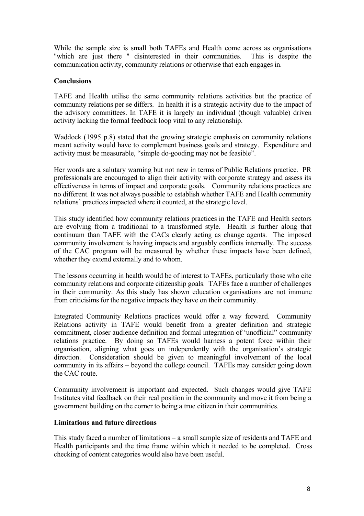While the sample size is small both TAFEs and Health come across as organisations "which are just there " disinterested in their communities. This is despite the communication activity, community relations or otherwise that each engages in.

# **Conclusions**

TAFE and Health utilise the same community relations activities but the practice of community relations per se differs. In health it is a strategic activity due to the impact of the advisory committees. In TAFE it is largely an individual (though valuable) driven activity lacking the formal feedback loop vital to any relationship.

Waddock (1995 p.8) stated that the growing strategic emphasis on community relations meant activity would have to complement business goals and strategy. Expenditure and activity must be measurable, "simple do-gooding may not be feasible".

Her words are a salutary warning but not new in terms of Public Relations practice. PR professionals are encouraged to align their activity with corporate strategy and assess its effectiveness in terms of impact and corporate goals. Community relations practices are no different. It was not always possible to establish whether TAFE and Health community relations' practices impacted where it counted, at the strategic level.

This study identified how community relations practices in the TAFE and Health sectors are evolving from a traditional to a transformed style. Health is further along that continuum than TAFE with the CACs clearly acting as change agents. The imposed community involvement is having impacts and arguably conflicts internally. The success of the CAC program will be measured by whether these impacts have been defined, whether they extend externally and to whom.

The lessons occurring in health would be of interest to TAFEs, particularly those who cite community relations and corporate citizenship goals. TAFEs face a number of challenges in their community. As this study has shown education organisations are not immune from criticisims for the negative impacts they have on their community.

Integrated Community Relations practices would offer a way forward. Community Relations activity in TAFE would benefit from a greater definition and strategic commitment, closer audience definition and formal integration of 'unofficial" community relations practice. By doing so TAFEs would harness a potent force within their organisation, aligning what goes on independently with the organisation's strategic direction. Consideration should be given to meaningful involvement of the local community in its affairs – beyond the college council. TAFEs may consider going down the CAC route.

Community involvement is important and expected. Such changes would give TAFE Institutes vital feedback on their real position in the community and move it from being a government building on the corner to being a true citizen in their communities.

# **Limitations and future directions**

This study faced a number of limitations – a small sample size of residents and TAFE and Health participants and the time frame within which it needed to be completed. Cross checking of content categories would also have been useful.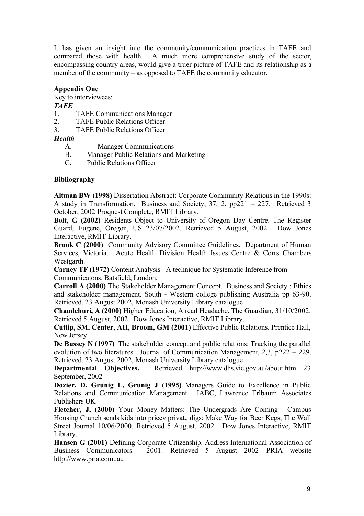It has given an insight into the community/communication practices in TAFE and compared those with health. A much more comprehensive study of the sector, encompassing country areas, would give a truer picture of TAFE and its relationship as a member of the community – as opposed to TAFE the community educator.

# **Appendix One**

Key to interviewees:

*TAFE*

- 1. TAFE Communications Manager
- 2. TAFE Public Relations Officer
- 3. TAFE Public Relations Officer

*Health*

- A. Manager Communications
- B. Manager Public Relations and Marketing
- C. Public Relations Officer

#### **Bibliography**

**Altman BW (1998)** Dissertation Abstract: Corporate Community Relations in the 1990s: A study in Transformation. Business and Society, 37, 2, pp221 – 227. Retrieved 3 October, 2002 Proquest Complete, RMIT Library.

**Bolt, G (2002)** Residents Object to University of Oregon Day Centre. The Register Guard, Eugene, Oregon, US 23/07/2002. Retrieved 5 August, 2002. Dow Jones Interactive, RMIT Library.

**Brook C (2000)** Community Advisory Committee Guidelines. Department of Human Services, Victoria. Acute Health Division Health Issues Centre & Corrs Chambers Westgarth.

**Carney TF (1972)** Content Analysis - A technique for Systematic Inference from Communicatons. Batsfield, London.

**Carroll A (2000)** The Stakeholder Management Concept, Business and Society : Ethics and stakeholder management. South - Western college publishing Australia pp 63-90. Retrieved, 23 August 2002, Monash University Library catalogue

**Chaudehuri, A (2000)** Higher Education, A read Headache, The Guardian, 31/10/2002. Retrieved 5 August, 2002. Dow Jones Interactive, RMIT Library.

**Cutlip, SM, Center, AH, Broom, GM (2001)** Effective Public Relations. Prentice Hall, New Jersey

**De Bussey N (1997)** The stakeholder concept and public relations: Tracking the parallel evolution of two literatures. Journal of Communication Management, 2,3, p222 – 229. Retrieved, 23 August 2002, Monash University Library catalogue

**Departmental Objectives.** Retrieved http://www.dhs.vic.gov.au/about.htm 23 September, 2002

**Dozier, D, Grunig L, Grunig J (1995)** Managers Guide to Excellence in Public Relations and Communication Management. IABC, Lawrence Erlbaum Associates Publishers UK

**Fletcher, J, (2000)** Your Money Matters: The Undergrads Are Coming - Campus Housing Crunch sends kids into pricey private digs: Make Way for Beer Kegs, The Wall Street Journal 10/06/2000. Retrieved 5 August, 2002. Dow Jones Interactive, RMIT Library.

**Hansen G (2001)** Defining Corporate Citizenship. Address International Association of Business Communicators 2001. Retrieved 5 August 2002 PRIA website http://www.pria.com..au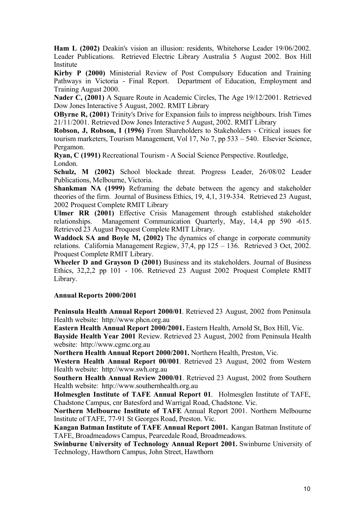**Ham L (2002)** Deakin's vision an illusion: residents, Whitehorse Leader 19/06/2002. Leader Publications. Retrieved Electric Library Australia 5 August 2002. Box Hill Institute

**Kirby P (2000)** Ministerial Review of Post Compulsory Education and Training Pathways in Victoria - Final Report. Department of Education, Employment and Training August 2000.

**Nader C, (2001)** A Square Route in Academic Circles, The Age 19/12/2001. Retrieved Dow Jones Interactive 5 August, 2002. RMIT Library

**OByrne R, (2001)** Trinity's Drive for Expansion fails to impress neighbours. Irish Times 21/11/2001. Retrieved Dow Jones Interactive 5 August, 2002. RMIT Library

**Robson, J, Robson, I (1996)** From Shareholders to Stakeholders - Critical issues for tourism marketers, Tourism Management, Vol 17, No 7, pp 533 – 540. Elsevier Science, Pergamon.

**Ryan, C (1991)** Recreational Tourism - A Social Science Perspective. Routledge, London.

**Schulz, M (2002)** School blockade threat. Progress Leader, 26/08/02 Leader Publications, Melbourne, Victoria.

**Shankman NA (1999)** Reframing the debate between the agency and stakeholder theories of the firm. Journal of Business Ethics, 19, 4,1, 319-334. Retrieved 23 August, 2002 Proquest Complete RMIT Library

**Ulmer RR (2001)** Effective Crisis Management through established stakeholder relationships. Management Communication Quarterly, May, 14,4 pp 590 -615. Retrieved 23 August Proquest Complete RMIT Library.

**Waddock SA and Boyle M, (2002)** The dynamics of change in corporate community relations. California Management Regiew, 37,4, pp 125 – 136. Retrieved 3 Oct, 2002. Proquest Complete RMIT Library.

**Wheeler D and Grayson D (2001)** Business and its stakeholders. Journal of Business Ethics, 32,2,2 pp 101 - 106. Retrieved 23 August 2002 Proquest Complete RMIT Library.

### **Annual Reports 2000/2001**

**Peninsula Health Annual Report 2000/01**. Retrieved 23 August, 2002 from Peninsula Health website: http://www.phcn.org.au

**Eastern Health Annual Report 2000/2001.** Eastern Health, Arnold St, Box Hill, Vic. **Bayside Health Year 2001** Review. Retrieved 23 August, 2002 from Peninsula Health

website: http://www.cgmc.org.au

**Northern Health Annual Report 2000/2001.** Northern Health, Preston, Vic.

**Western Health Annual Report 00/001**. Retrieved 23 August, 2002 from Western Health website: http://www.swh.org.au

**Southern Health Annual Review 2000/01**. Retrieved 23 August, 2002 from Southern Health website: http://www.southernhealth.org.au

**Holmesglen Institute of TAFE Annual Report 01**. Holmesglen Institute of TAFE, Chadstone Campus, cnr Batesford and Warrigal Road, Chadstone. Vic.

**Northern Melbourne Institute of TAFE** Annual Report 2001. Northern Melbourne Institute of TAFE, 77-91 St Georges Road, Preston. Vic.

**Kangan Batman Institute of TAFE Annual Report 2001.** Kangan Batman Institute of TAFE, Broadmeadows Campus, Pearcedale Road, Broadmeadows.

**Swinburne University of Technology Annual Report 2001.** Swinburne University of Technology, Hawthorn Campus, John Street, Hawthorn